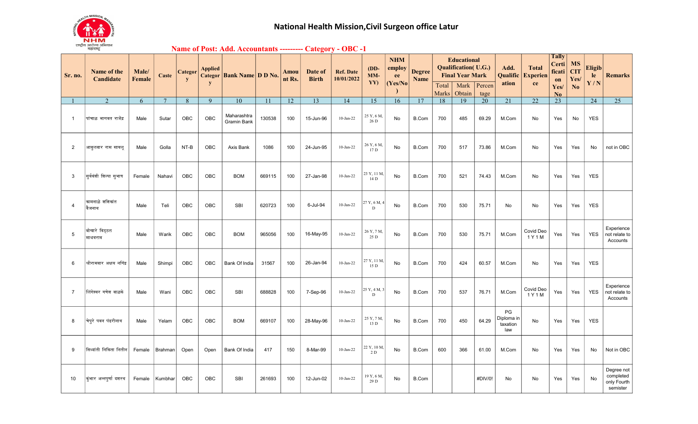

## Name of Post: Add. Accountants --------- Category - OBC -1

| Sr. no.        | Name of the<br>Candidate  | Male/<br>Female | Caste           | Categor<br>y    | <b>Applied</b><br>y | Categor   Bank Name   D D No.     |                 | Amou<br>nt Rs. | Date of<br><b>Birth</b> | <b>Ref. Date</b><br>10/01/2022 | $(DD-$<br>$MM-$<br>YY)       | <b>NHM</b><br>employ<br>ee<br>(Yes/No) | <b>Degree</b><br><b>Name</b> | Total | <b>Educational</b><br><b>Qualification</b> (U.G.)<br><b>Final Year Mark</b><br>Mark | Percen          | Add.<br>Qualific<br>ation           | <b>Total</b><br><b>Experien</b><br>ce | <b>Tally</b><br>Certi<br>ficati<br>on<br>Yes/ | <b>MS</b><br><b>CIT</b><br>Yes/<br>No | <b>Eligib</b><br>le<br>Y/N | <b>Remarks</b>                                     |
|----------------|---------------------------|-----------------|-----------------|-----------------|---------------------|-----------------------------------|-----------------|----------------|-------------------------|--------------------------------|------------------------------|----------------------------------------|------------------------------|-------|-------------------------------------------------------------------------------------|-----------------|-------------------------------------|---------------------------------------|-----------------------------------------------|---------------------------------------|----------------------------|----------------------------------------------------|
|                |                           |                 |                 |                 |                     |                                   |                 |                |                         |                                |                              |                                        |                              | Marks | Obtain                                                                              | tage            |                                     |                                       | No.                                           |                                       |                            |                                                    |
|                | 2                         | 6               | $7\phantom{.0}$ | $8\phantom{.}8$ | 9                   | $\overline{10}$                   | $\overline{11}$ | 12             | $\overline{13}$         | 14                             | 15                           | $\overline{16}$                        | 17                           | 18    | $\overline{19}$                                                                     | $\overline{20}$ | 21                                  | $\overline{22}$                       | $\overline{23}$                               |                                       | $\overline{24}$            | $\overline{25}$                                    |
| $\overline{1}$ | पांचाळ भागवत राजेंद्र     | Male            | Sutar           | OBC             | OBC                 | Maharashtra<br><b>Gramin Bank</b> | 130538          | 100            | 15-Jun-96               | 10-Jan-22                      | 25 Y, 6 M,<br>26 D           | No                                     | B.Com                        | 700   | 485                                                                                 | 69.29           | M.Com                               | No                                    | Yes                                           | No                                    | <b>YES</b>                 |                                                    |
| $\overline{2}$ | आवृलवार राम सायलू         | Male            | Golla           | NT-B            | OBC                 | Axis Bank                         | 1086            | 100            | 24-Jun-95               | $10$ -Jan-22                   | 26 Y, 6 M,<br>17D            | No                                     | B.Com                        | 700   | 517                                                                                 | 73.86           | M.Com                               | No                                    | Yes                                           | Yes                                   | No                         | not in OBC                                         |
| 3              | सूर्यवंशी शिल्पा सुभाष    | Female          | Nahavi          | OBC             | OBC                 | <b>BOM</b>                        | 669115          | 100            | 27-Jan-98               | $10-Jan-22$                    | 23 Y, 11 M,<br>14 D          | No                                     | B.Com                        | 700   | 521                                                                                 | 74.43           | M.Com                               | No                                    | Yes                                           | Yes                                   | <b>YES</b>                 |                                                    |
| $\overline{4}$ | कामनाळे शशिकांत<br>वैजनाथ | Male            | Teli            | OBC             | <b>OBC</b>          | <b>SBI</b>                        | 620723          | 100            | 6-Jul-94                | $10-Jan-22$                    | 27 Y, 6 M, 4<br>$\mathbf{D}$ | No                                     | B.Com                        | 700   | 530                                                                                 | 75.71           | No                                  | No                                    | Yes                                           | Yes                                   | <b>YES</b>                 |                                                    |
| 5              | बोखारे विठ्ठल<br>माधवराव  | Male            | Warik           | OBC             | OBC                 | <b>BOM</b>                        | 965056          | 100            | 16-May-95               | 10-Jan-22                      | 26 Y, 7 M,<br>25 D           | No                                     | B.Com                        | 700   | 530                                                                                 | 75.71           | M.Com                               | Covid Deo<br>1 Y 1 M                  | Yes                                           | Yes                                   | <b>YES</b>                 | Experience<br>not relate to<br>Accounts            |
| 6              | श्रीरामवार अक्षय नगिंद्र  | Male            | Shimpi          | OBC             | OBC                 | Bank Of India                     | 31567           | 100            | 26-Jan-94               | $10$ -Jan-22 $\,$              | 27 Y, 11 M,<br>15 D          | No                                     | B.Com                        | 700   | 424                                                                                 | 60.57           | M.Com                               | No                                    | Yes                                           | Yes                                   | <b>YES</b>                 |                                                    |
| $\overline{7}$ | लिंगेश्वर गणेश वाळके      | Male            | Wani            | OBC             | OBC                 | <b>SBI</b>                        | 688828          | 100            | 7-Sep-96                | 10-Jan-22                      | 25 Y, 4 M, 3<br>D            | No                                     | B.Com                        | 700   | 537                                                                                 | 76.71           | M.Com                               | Covid Deo<br>1 Y 1 M                  | Yes                                           | Yes                                   | <b>YES</b>                 | Experience<br>not relate to<br>Accounts            |
| 8              | चेपुरे पवन पंढरीनाथ       | Male            | Yelam           | OBC             | OBC                 | <b>BOM</b>                        | 669107          | 100            | 28-May-96               | 10-Jan-22                      | 25 Y, 7 M,<br>13D            | No                                     | B.Com                        | 700   | 450                                                                                 | 64.29           | PG<br>Diploma in<br>taxation<br>law | No                                    | Yes                                           | Yes                                   | <b>YES</b>                 |                                                    |
| 9              | सिध्दांती निकिता नितीन    | Female          | Brahman         | Open            | Open                | Bank Of India                     | 417             | 150            | 8-Mar-99                | 10-Jan-22                      | 22 Y, 10 M,<br>2 D           | No                                     | B.Com                        | 600   | 366                                                                                 | 61.00           | M.Com                               | No                                    | Yes                                           | Yes                                   | No                         | Not in OBC                                         |
| 10             | कुंभार अन्नपर्णा दशरथ     | Female          | Kumbhar         | OBC             | <b>OBC</b>          | <b>SBI</b>                        | 261693          | 100            | 12-Jun-02               | 10-Jan-22                      | 19 Y, 6 M,<br>29 D           | No                                     | B.Com                        |       |                                                                                     | #DIV/0!         | No                                  | No                                    | Yes                                           | Yes                                   | No                         | Degree not<br>completed<br>only Fourth<br>semister |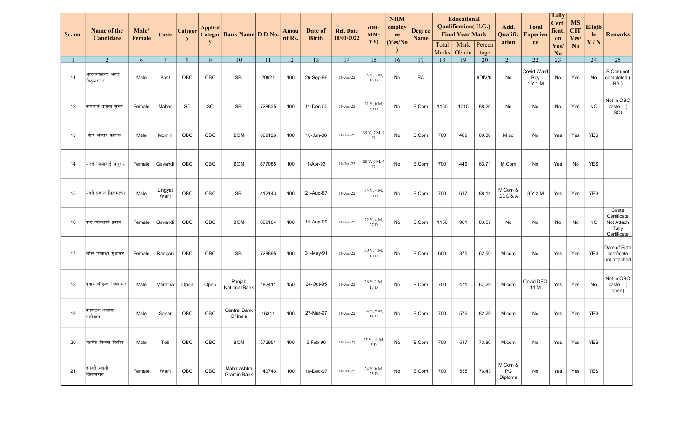| Name of the<br>Sr. no.<br>Candidate |                            | Male/<br>Female | Caste           | Categor<br>y | <b>Applied</b> | Categor Bank Name D D No.      |        | Amou<br>nt Rs. | Date of<br><b>Birth</b> | <b>Ref. Date</b><br>10/01/2022 | $(DD-$<br>$MM-$<br>YY) | <b>NHM</b><br>employ<br>ee | <b>Degree</b><br><b>Name</b> |                | <b>Educational</b><br><b>Qualification</b> (U.G.)<br><b>Final Year Mark</b> |                | Add.<br>Qualific         | <b>Total</b><br><b>Experien</b> | <b>Tally</b><br>Certi<br>ficati<br>on | <b>MS</b><br><b>CIT</b><br>Yes/ | <b>Eligib</b><br>le | <b>Remarks</b>                                             |
|-------------------------------------|----------------------------|-----------------|-----------------|--------------|----------------|--------------------------------|--------|----------------|-------------------------|--------------------------------|------------------------|----------------------------|------------------------------|----------------|-----------------------------------------------------------------------------|----------------|--------------------------|---------------------------------|---------------------------------------|---------------------------------|---------------------|------------------------------------------------------------|
|                                     |                            |                 |                 |              | y              |                                |        |                |                         |                                |                        | (Yes/No)                   |                              | Total<br>Marks | Mark<br>Obtain                                                              | Percen<br>tage | ation                    | ce                              | Yes/<br>No                            | No                              | Y/N                 |                                                            |
|                                     | $\overline{2}$             | 6               | $\overline{7}$  | 8            | 9              | 10                             | 11     | 12             | 13                      | 14                             | 15                     | 16                         | 17                           | 18             | $\overline{19}$                                                             | 20             | 21                       | $\overline{22}$                 | 23                                    |                                 | $\overline{24}$     | $\overline{25}$                                            |
| 11                                  | आरसनाळकर अनंत<br>विठुठलराव | Male            | Parit           | OBC          | OBC            | SBI                            | 20921  | 100            | 26-Sep-96               | $10$ -Jan-22                   | 25 Y, 3 M,<br>15 D     | No                         | BA                           |                |                                                                             | #DIV/0!        | No                       | Covid Ward<br>Boy<br>1 Y 1 M    | No                                    | Yes                             | No                  | B.Com not<br>completed<br>BA)                              |
| 12                                  | वाघमारे प्रतिका सुरेश      | Female          | Mahar           | SC           | SC             | SBI                            | 728835 | 100            | 11-Dec-00               | 10-Jan-22                      | 21 Y, 0 M,<br>30 D     | No                         | <b>B.Com</b>                 | 1150           | 1015                                                                        | 88.26          | No                       | No                              | No                                    | Yes                             | <b>NO</b>           | Not in OBC<br>caste - (<br>SC)                             |
| 13                                  | शेख अख्तर फारुक            | Male            | Momin           | OBC          | OBC            | <b>BOM</b>                     | 669126 | 100            | 10-Jun-86               | 10-Jan-22                      | 35 Y, 7 M, 0<br>D      | No                         | B.Com                        | 700            | 489                                                                         | 69.86          | M.sc                     | No                              | Yes                                   | Yes                             | <b>YES</b>          |                                                            |
| 14                                  | ∣मरडे जिजाबाई मधुकर        | Female          | Gavandi         | OBC          | OBC            | <b>BOM</b>                     | 677085 | 100            | 1-Apr-93                | $10$ -Jan-22                   | 28 Y, 9 M, 9<br>D      | No                         | <b>B.Com</b>                 | 700            | 446                                                                         | 63.71          | M.Com                    | No                              | Yes                                   | No                              | <b>YES</b>          |                                                            |
| 15                                  | मदगे प्रशांत सिद्रामाप्पा  | Male            | Lingyat<br>Wani | OBC          | OBC            | SBI                            | 412143 | 100            | 21-Aug-87               | 10-Jan-22                      | 34 Y, 4 M,<br>20 D     | No                         | B.Com                        | 700            | 617                                                                         | 88.14          | M.Com &<br>GDC & A       | 3 Y 2 M                         | Yes                                   | Yes                             | <b>YES</b>          |                                                            |
| 16                                  | पेप्टे शिवराणी प्रकाश      | Female          | Gavandi         | OBC          | OBC            | <b>BOM</b>                     | 669184 | 100            | 14-Aug-99               | 10-Jan-22                      | 22 Y, 4 M,<br>27 D     | No                         | B.Com                        | 1150           | 961                                                                         | 83.57          | No                       | No                              | No                                    | No                              | <b>NO</b>           | Caste<br>Certificate<br>Not Attach<br>Tally<br>Certificate |
| 17                                  | खोले मिनाक्षी सुधाकर       | Female          | Rangari         | OBC          | OBC            | SBI                            | 728895 | 100            | 31-May-91               | $10$ -Jan-22                   | 30 Y, 7 M,<br>10D      | No                         | B.Com                        | 600            | 375                                                                         | 62.50          | M.com                    | No                              | Yes                                   | Yes                             | <b>YES</b>          | Date of Birth<br>certificate<br>not attached               |
| 18                                  | पवार श्रीकृष्ण विश्वांभर   | Male            | Maratha         | Open         | Open           | Punjab<br><b>National Bank</b> | 182411 | 150            | 24-Oct-95               | $10$ -Jan-22                   | 26 Y, 2 M,<br>17 D     | No                         | B.Com                        | 700            | 471                                                                         | 67.29          | M.com                    | Covid DEO<br>11 M               | Yes                                   | Yes                             | No                  | Not in OBC<br>caste - (<br>open)                           |
| 19                                  | वेदपाठक आकाश<br>शशीकांत    | Male            | Sonar           | OBC          | OBC            | Central Bank<br>Of India       | 16311  | 100            | 27-Mar-97               | $10$ -Jan-22                   | 24 Y, 9 M,<br>14 D     | No                         | <b>B.Com</b>                 | 700            | 576                                                                         | 82.29          | M.com                    | No                              | Yes                                   | Yes                             | <b>YES</b>          |                                                            |
| 20                                  | भिद्रशेटे विकास दिलीप      | Male            | Teli            | OBC          | <b>OBC</b>     | <b>BOM</b>                     | 572951 | 100            | 5-Feb-96                | $10$ -Jan-22                   | 25 Y, 11 M,<br>5 D     | No                         | B.Com                        | 700            | 517                                                                         | 73.86          | M.com                    | No                              | Yes                                   | Yes                             | <b>YES</b>          |                                                            |
| 21                                  | हनवते स्वाती<br>विलासराव   | Female          | Wani            | <b>OBC</b>   | OBC            | Maharashtra<br>Gramin Bank     | 140743 | 100            | 16-Dec-97               | $10$ -Jan-22                   | 24 Y, 0 M,<br>25 D     | No                         | B.Com                        | 700            | 535                                                                         | 76.43          | M.Com &<br>PG<br>Diploma | No                              | Yes                                   | Yes                             | <b>YES</b>          |                                                            |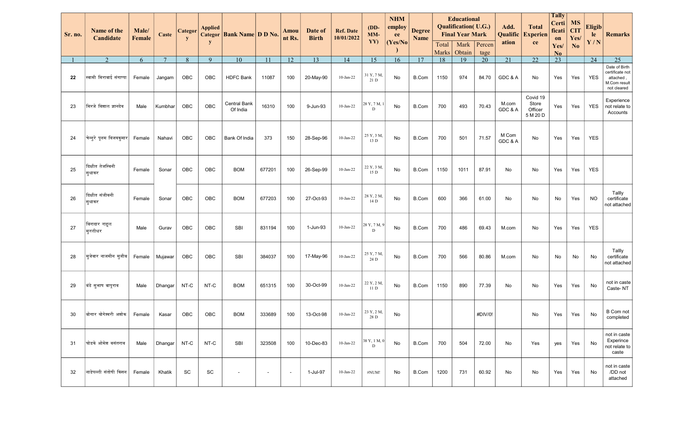| <b>Sr. no.</b> | Name of the<br>Candidate    | Male/<br>Female | <b>Caste</b>    | Categor<br>$\mathbf{y}$ | <b>Applied</b><br>y | Categor   Bank Name   D D No. |                | Amou<br>nt Rs.           | Date of<br><b>Birth</b> | <b>Ref. Date</b><br>10/01/2022 | $(DD-$<br>$MM-$<br>YY) | <b>NHM</b><br>employ<br>ee<br> Yes/No | <b>Degree</b><br><b>Name</b> | Total | <b>Educational</b><br><b>Qualification</b> (U.G.)<br><b>Final Year Mark</b><br>Mark | Percen          | Add.<br>Qualific<br>ation | <b>Total</b><br><b>Experien</b><br>ce    | <b>Tally</b><br>Certi<br>ficati<br>on<br>Yes/ | <b>MS</b><br><b>CIT</b><br>Yes/<br>No | <b>Eligib</b><br>le<br>Y/N | <b>Remarks</b>                                                               |
|----------------|-----------------------------|-----------------|-----------------|-------------------------|---------------------|-------------------------------|----------------|--------------------------|-------------------------|--------------------------------|------------------------|---------------------------------------|------------------------------|-------|-------------------------------------------------------------------------------------|-----------------|---------------------------|------------------------------------------|-----------------------------------------------|---------------------------------------|----------------------------|------------------------------------------------------------------------------|
|                |                             |                 |                 |                         |                     |                               |                |                          |                         |                                |                        |                                       |                              | Marks | Obtain                                                                              | tage            |                           |                                          | N <sub>o</sub>                                |                                       |                            |                                                                              |
|                | $\overline{2}$              | 6               | $7\phantom{.0}$ | 8                       | 9                   | $\overline{10}$               | 11             | $\overline{12}$          | $\overline{13}$         | 14                             | 15                     | 16                                    | $\overline{17}$              | 18    | $\overline{19}$                                                                     | $\overline{20}$ | 21                        | $\overline{22}$                          | 23                                            |                                       | $\overline{24}$            | $\overline{25}$                                                              |
| 22             | स्वामी मिराबाई संगाप्पा     | Female          | Jangam          | OBC                     | OBC                 | <b>HDFC Bank</b>              | 11087          | 100                      | 20-May-90               | $10$ -Jan-22                   | 31 Y, 7 M,<br>21 D     | No                                    | B.Com                        | 1150  | 974                                                                                 | 84.70           | GDC & A                   | No                                       | Yes                                           | Yes                                   | <b>YES</b>                 | Date of Birth<br>certificate not<br>attached,<br>M.Com result<br>not cleared |
| 23             | मिरजे विशाल ज्ञानदेव        | Male            | Kumbhar         | OBC                     | OBC                 | Central Bank<br>Of India      | 16310          | 100                      | 9-Jun-93                | $10$ -Jan-22                   | 28 Y, 7 M, 1<br>D      | No                                    | B.Com                        | 700   | 493                                                                                 | 70.43           | M.com<br>GDC & A          | Covid 19<br>Store<br>Officer<br>5 M 20 D | Yes                                           | Yes                                   | <b>YES</b>                 | Experience<br>not relate to<br>Accounts                                      |
| 24             | चेन्नूरे पूनम विजयकूमार     | Female          | Nahavi          | OBC                     | OBC                 | Bank Of India                 | 373            | 150                      | 28-Sep-96               | 10-Jan-22                      | 25 Y, 3 M,<br>13 D     | No                                    | B.Com                        | 700   | 501                                                                                 | 71.57           | M Com<br>GDC & A          | No                                       | Yes                                           | Yes                                   | <b>YES</b>                 |                                                                              |
| 25             | दिक्षीत तेजस्विनी<br>सूधाकर | Female          | Sonar           | OBC                     | <b>OBC</b>          | <b>BOM</b>                    | 677201         | 100                      | 26-Sep-99               | 10-Jan-22                      | 22 Y, 3 M,<br>15 D     | No                                    | B.Com                        | 1150  | 1011                                                                                | 87.91           | No                        | No                                       | Yes                                           | Yes                                   | YES                        |                                                                              |
| 26             | दिक्षीत संजीवनी<br>सुधाकर   | Female          | Sonar           | OBC                     | OBC                 | <b>BOM</b>                    | 677203         | 100                      | 27-Oct-93               | 10-Jan-22                      | 28 Y, 2 M,<br>14 D     | No                                    | B.Com                        | 600   | 366                                                                                 | 61.00           | No                        | No                                       | No                                            | Yes                                   | <b>NO</b>                  | Tallly<br>certificate<br>not attached                                        |
| 27             | बिरादार राहूल<br>मूरलीधर    | Male            | Gurav           | OBC                     | OBC                 | SBI                           | 831194         | 100                      | 1-Jun-93                | $10$ -Jan-22                   | 28 Y, 7 M, 9<br>D      | No                                    | B.Com                        | 700   | 486                                                                                 | 69.43           | M.com                     | No                                       | Yes                                           | Yes                                   | YES                        |                                                                              |
| 28             | मुजेवार नाजमीन मुजीब        | Female          | Mujawar         | OBC                     | OBC                 | SBI                           | 384037         | 100                      | 17-May-96               | 10-Jan-22                      | 25 Y, 7 M,<br>24 D     | No                                    | B.Com                        | 700   | 566                                                                                 | 80.86           | M.com                     | No                                       | No                                            | No                                    | No                         | Tallly<br>certificate<br>not attached                                        |
| 29             | बिंडे सुभाष बापूराव         | Male            | Dhangar         | NT-C                    | NT-C                | <b>BOM</b>                    | 651315         | 100                      | 30-Oct-99               | $10$ -Jan-22                   | 22 Y, 2 M,<br>11 D     | No                                    | B.Com                        | 1150  | 890                                                                                 | 77.39           | No                        | No                                       | Yes                                           | Yes                                   | No                         | not in caste<br>Caste-NT                                                     |
| 30             | बोगार योगेश्वरी अशोक        | Female          | Kasar           | OBC                     | OBC                 | <b>BOM</b>                    | 333689         | 100                      | 13-Oct-98               | 10-Jan-22                      | 23 Y, 2 M,<br>28 D     | No                                    |                              |       |                                                                                     | #DIV/0!         |                           | No                                       | Yes                                           | Yes                                   | No                         | <b>B</b> Com not<br>completed                                                |
| 31             | घोडके ओमेश वसंतराव          | Male            | Dhangar         | NT-C                    | NT-C                | <b>SBI</b>                    | 323508         | 100                      | 10-Dec-83               | $10$ -Jan-22                   | 38 Y, 1 M, 0<br>D      | No                                    | B.Com                        | 700   | 504                                                                                 | 72.00           | No                        | Yes                                      | yes                                           | Yes                                   | No                         | not in caste<br>Experince<br>not relate to<br>caste                          |
| 32             | नाडेपल्ली संतोषी किसन       | Female          | Khatik          | SC                      | SC                  |                               | $\overline{a}$ | $\overline{\phantom{a}}$ | 1-Jul-97                | $10$ -Jan-22                   | #NUM!                  | No                                    | B.Com                        | 1200  | 731                                                                                 | 60.92           | No                        | No                                       | Yes                                           | Yes                                   | No                         | not in caste<br>/DD not<br>attached                                          |